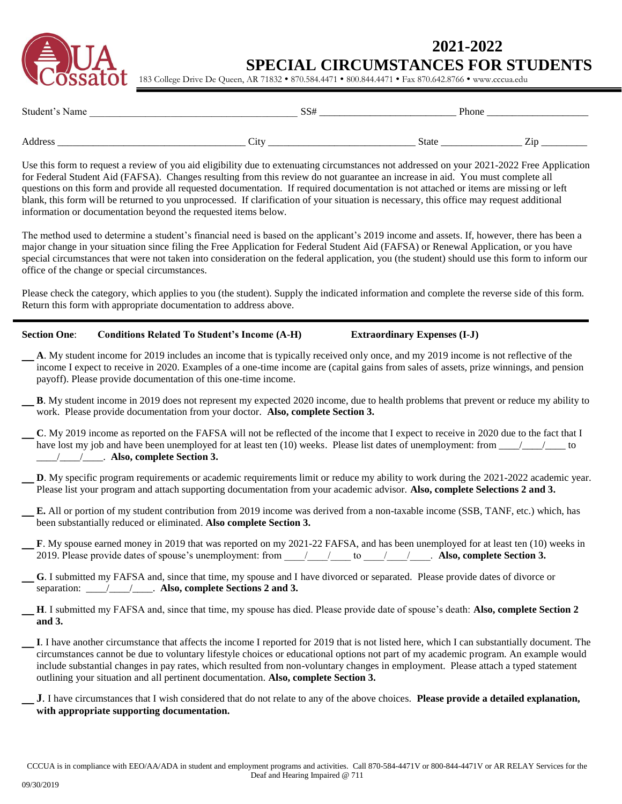

## **2021-2022 SPECIAL CIRCUMSTANCES FOR STUDENTS**

183 College Drive De Queen, AR 71832 · 870.584.4471 · 800.844.4471 · Fax 870.642.8766 · www.cccua.edu

| Student's Name |      | $\sim$ $\sim$ $\sim$<br>აა $\scriptstyle \tau$ |              | Phone |         |
|----------------|------|------------------------------------------------|--------------|-------|---------|
| Address        | City |                                                | <b>State</b> |       | --<br>. |

Use this form to request a review of you aid eligibility due to extenuating circumstances not addressed on your 2021-2022 Free Application for Federal Student Aid (FAFSA). Changes resulting from this review do not guarantee an increase in aid. You must complete all questions on this form and provide all requested documentation. If required documentation is not attached or items are missing or left blank, this form will be returned to you unprocessed. If clarification of your situation is necessary, this office may request additional information or documentation beyond the requested items below.

The method used to determine a student's financial need is based on the applicant's 2019 income and assets. If, however, there has been a major change in your situation since filing the Free Application for Federal Student Aid (FAFSA) or Renewal Application, or you have special circumstances that were not taken into consideration on the federal application, you (the student) should use this form to inform our office of the change or special circumstances.

Please check the category, which applies to you (the student). Supply the indicated information and complete the reverse side of this form. Return this form with appropriate documentation to address above.

#### **Section One**: **Conditions Related To Student's Income (A-H) Extraordinary Expenses (I-J)**

\_ **<sup>A</sup>**. My student income for 2019 includes an income that is typically received only once, and my 2019 income is not reflective of the income I expect to receive in 2020. Examples of a one-time income are (capital gains from sales of assets, prize winnings, and pension payoff). Please provide documentation of this one-time income.

- \_ **<sup>B</sup>**. My student income in 2019 does not represent my expected 2020 income, due to health problems that prevent or reduce my ability to work. Please provide documentation from your doctor. **Also, complete Section 3.**
- \_ **<sup>C</sup>**. My 2019 income as reported on the FAFSA will not be reflected of the income that I expect to receive in 2020 due to the fact that I have lost my job and have been unemployed for at least ten (10) weeks. Please list dates of unemployment: from \_\_\_\_/\_\_\_\_/\_\_\_\_ to \_\_\_\_/\_\_\_\_/\_\_\_\_. **Also, complete Section 3.**
- **D**. My specific program requirements or academic requirements limit or reduce my ability to work during the 2021-2022 academic year. Please list your program and attach supporting documentation from your academic advisor. **Also, complete Selections 2 and 3.**
- \_ **E.** All or portion of my student contribution from 2019 income was derived from a non-taxable income (SSB, TANF, etc.) which, has been substantially reduced or eliminated. **Also complete Section 3.**
- **F**. My spouse earned money in 2019 that was reported on my 2021-22 FAFSA, and has been unemployed for at least ten (10) weeks in 2019. Please provide dates of spouse's unemployment: from  $\frac{1}{2}$  to  $\frac{1}{2}$  to  $\frac{1}{2}$ . **Also, complete Section 3.**
- \_ **<sup>G</sup>**. I submitted my FAFSA and, since that time, my spouse and I have divorced or separated. Please provide dates of divorce or separation: \_\_\_\_/\_\_\_\_/\_\_\_\_. **Also, complete Sections 2 and 3.**
- \_ **<sup>H</sup>**. I submitted my FAFSA and, since that time, my spouse has died. Please provide date of spouse's death: **Also, complete Section 2 and 3.**
- \_**I**. I have another circumstance that affects the income I reported for 2019 that is not listed here, which I can substantially document. The circumstances cannot be due to voluntary lifestyle choices or educational options not part of my academic program. An example would include substantial changes in pay rates, which resulted from non-voluntary changes in employment. Please attach a typed statement outlining your situation and all pertinent documentation. **Also, complete Section 3.**
	- \_**J**. I have circumstances that I wish considered that do not relate to any of the above choices. **Please provide a detailed explanation, with appropriate supporting documentation.**